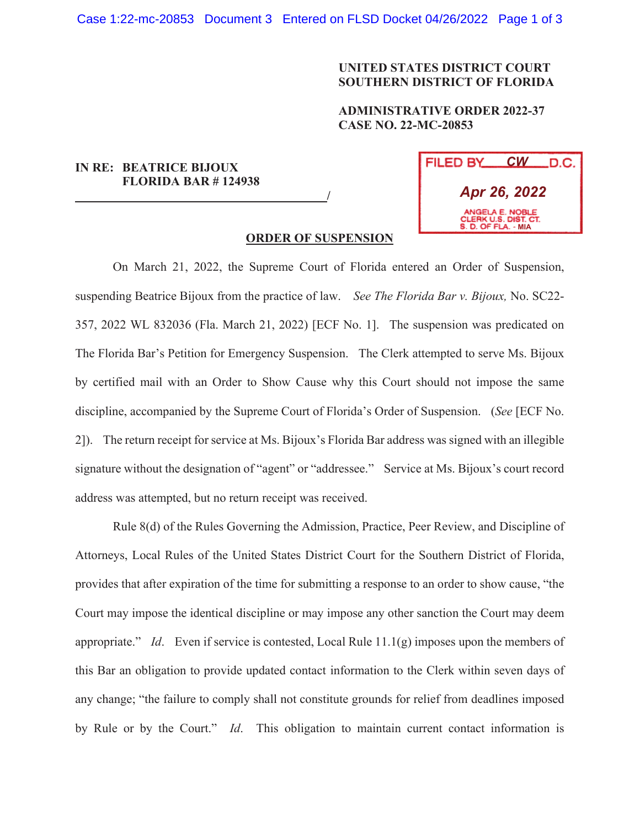## **UNITED STATES DISTRICT COURT SOUTHERN DISTRICT OF FLORIDA**

## **ADMINISTRATIVE ORDER 2022-37 CASE NO. 22-MC-20853**

## **IN RE: BEATRICE BIJOUX FLORIDA BAR # 124938**

 **/**

| FILED BY                                                       | CW _ | _D.C. |
|----------------------------------------------------------------|------|-------|
| Apr 26, 2022                                                   |      |       |
| ANGELA E. NOBLE<br>CLERK U.S. DIST. CT.<br>S. D. OF FLA. - MIA |      |       |

## **ORDER OF SUSPENSION**

On March 21, 2022, the Supreme Court of Florida entered an Order of Suspension, suspending Beatrice Bijoux from the practice of law. *See The Florida Bar v. Bijoux,* No. SC22- 357, 2022 WL 832036 (Fla. March 21, 2022) [ECF No. 1]. The suspension was predicated on The Florida Bar's Petition for Emergency Suspension. The Clerk attempted to serve Ms. Bijoux by certified mail with an Order to Show Cause why this Court should not impose the same discipline, accompanied by the Supreme Court of Florida's Order of Suspension. (*See* [ECF No. 2]). The return receipt for service at Ms. Bijoux's Florida Bar address was signed with an illegible signature without the designation of "agent" or "addressee." Service at Ms. Bijoux's court record address was attempted, but no return receipt was received.

Rule 8(d) of the Rules Governing the Admission, Practice, Peer Review, and Discipline of Attorneys, Local Rules of the United States District Court for the Southern District of Florida, provides that after expiration of the time for submitting a response to an order to show cause, "the Court may impose the identical discipline or may impose any other sanction the Court may deem appropriate." *Id*. Even if service is contested, Local Rule 11.1(g) imposes upon the members of this Bar an obligation to provide updated contact information to the Clerk within seven days of any change; "the failure to comply shall not constitute grounds for relief from deadlines imposed by Rule or by the Court." *Id*. This obligation to maintain current contact information is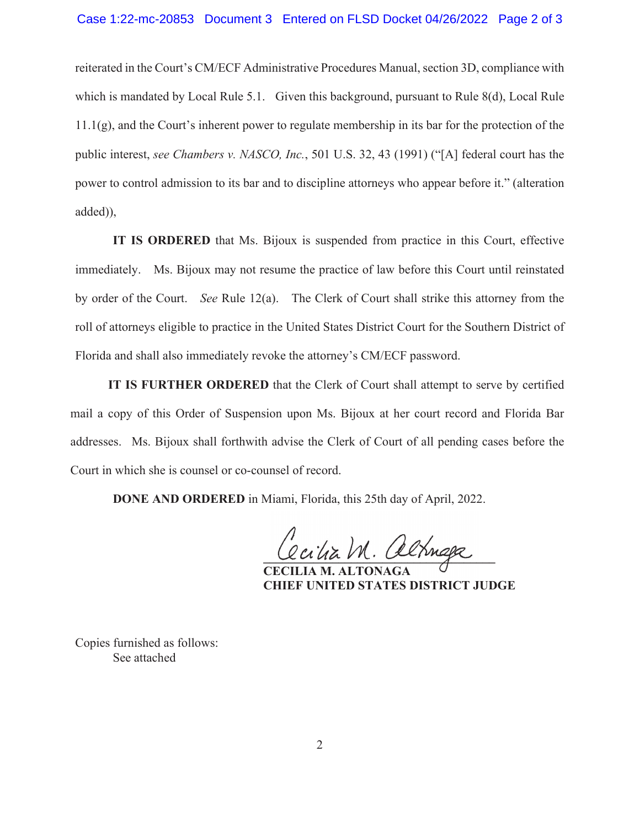reiterated in the Court's CM/ECF Administrative Procedures Manual, section 3D, compliance with which is mandated by Local Rule 5.1. Given this background, pursuant to Rule 8(d), Local Rule 11.1(g), and the Court's inherent power to regulate membership in its bar for the protection of the public interest, *see Chambers v. NASCO, Inc.*, 501 U.S. 32, 43 (1991) ("[A] federal court has the power to control admission to its bar and to discipline attorneys who appear before it." (alteration added)),

**IT IS ORDERED** that Ms. Bijoux is suspended from practice in this Court, effective immediately. Ms. Bijoux may not resume the practice of law before this Court until reinstated by order of the Court. *See* Rule 12(a). The Clerk of Court shall strike this attorney from the roll of attorneys eligible to practice in the United States District Court for the Southern District of Florida and shall also immediately revoke the attorney's CM/ECF password.

**IT IS FURTHER ORDERED** that the Clerk of Court shall attempt to serve by certified mail a copy of this Order of Suspension upon Ms. Bijoux at her court record and Florida Bar addresses. Ms. Bijoux shall forthwith advise the Clerk of Court of all pending cases before the Court in which she is counsel or co-counsel of record.

**DONE AND ORDERED** in Miami, Florida, this 25th day of April, 2022.

**\_\_\_\_\_\_\_\_\_\_\_\_\_\_\_\_\_\_\_\_\_\_\_\_\_\_\_\_\_\_\_\_\_\_\_\_\_** 

 **CECILIA M. ALTONAGA CHIEF UNITED STATES DISTRICT JUDGE** 

Copies furnished as follows: See attached